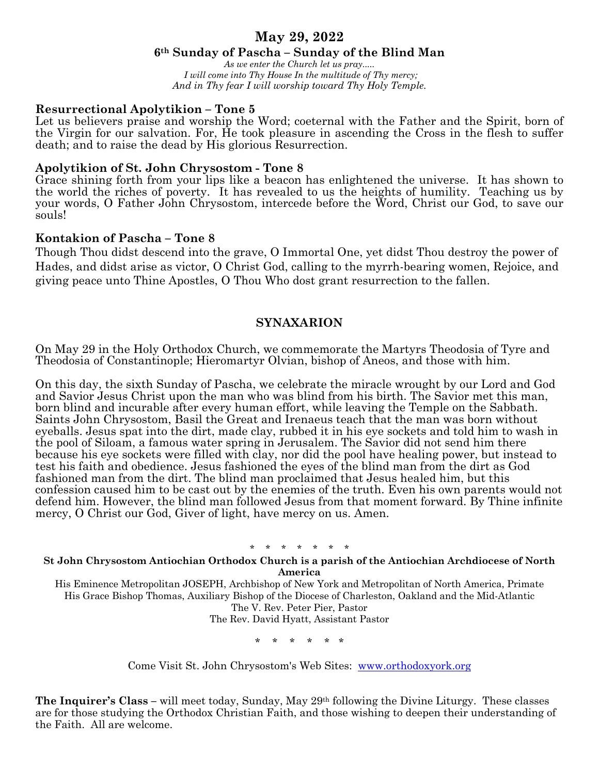# **May 29, 2022**

## **6th Sunday of Pascha – Sunday of the Blind Man**

*As we enter the Church let us pray..... I will come into Thy House In the multitude of Thy mercy; And in Thy fear I will worship toward Thy Holy Temple.*

## **Resurrectional Apolytikion – Tone 5**

Let us believers praise and worship the Word; coeternal with the Father and the Spirit, born of the Virgin for our salvation. For, He took pleasure in ascending the Cross in the flesh to suffer death; and to raise the dead by His glorious Resurrection.

### **Apolytikion of St. John Chrysostom - Tone 8**

Grace shining forth from your lips like a beacon has enlightened the universe. It has shown to the world the riches of poverty. It has revealed to us the heights of humility. Teaching us by your words, O Father John Chrysostom, intercede before the Word, Christ our God, to save our souls!

## **Kontakion of Pascha – Tone 8**

Though Thou didst descend into the grave, O Immortal One, yet didst Thou destroy the power of Hades, and didst arise as victor, O Christ God, calling to the myrrh-bearing women, Rejoice, and giving peace unto Thine Apostles, O Thou Who dost grant resurrection to the fallen.

## **SYNAXARION**

On May 29 in the Holy Orthodox Church, we commemorate the Martyrs Theodosia of Tyre and Theodosia of Constantinople; Hieromartyr Olvian, bishop of Aneos, and those with him.

On this day, the sixth Sunday of Pascha, we celebrate the miracle wrought by our Lord and God and Savior Jesus Christ upon the man who was blind from his birth. The Savior met this man, born blind and incurable after every human effort, while leaving the Temple on the Sabbath. Saints John Chrysostom, Basil the Great and Irenaeus teach that the man was born without eyeballs. Jesus spat into the dirt, made clay, rubbed it in his eye sockets and told him to wash in the pool of Siloam, a famous water spring in Jerusalem. The Savior did not send him there because his eye sockets were filled with clay, nor did the pool have healing power, but instead to test his faith and obedience. Jesus fashioned the eyes of the blind man from the dirt as God fashioned man from the dirt. The blind man proclaimed that Jesus healed him, but this confession caused him to be cast out by the enemies of the truth. Even his own parents would not defend him. However, the blind man followed Jesus from that moment forward. By Thine infinite mercy, O Christ our God, Giver of light, have mercy on us. Amen.

#### \* \* \* \* \* \* \*

#### **St John Chrysostom Antiochian Orthodox Church is a parish of the Antiochian Archdiocese of North America**

His Eminence Metropolitan JOSEPH, Archbishop of New York and Metropolitan of North America, Primate His Grace Bishop Thomas, Auxiliary Bishop of the Diocese of Charleston, Oakland and the Mid-Atlantic The V. Rev. Peter Pier, Pastor The Rev. David Hyatt, Assistant Pastor

\* \* \* \* \* \*

Come Visit St. John Chrysostom's Web Sites: www.orthodoxyork.org

**The Inquirer's Class –** will meet today, Sunday, May 29th following the Divine Liturgy. These classes are for those studying the Orthodox Christian Faith, and those wishing to deepen their understanding of the Faith. All are welcome.